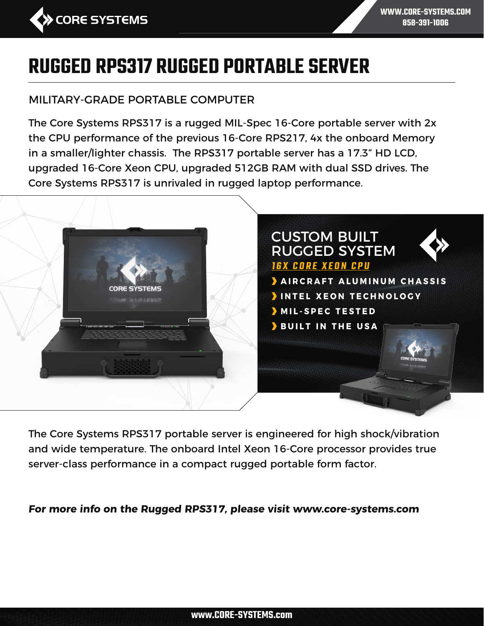

**WWW.CORE-SYSTEMS.COM 858-391-1006**

# **RUGGED RPS317 RUGGED PORTABLE SERVER**

#### MILITARY-GRADE PORTABLE COMPUTER

The Core Systems RPS317 is a rugged MIL-Spec 16-Core portable server with 2x the CPU performance of the previous 16-Core RPS217, 4x the onboard Memory in a smaller/lighter chassis. The RPS317 portable server has a 17.3" HD LCD, upgraded 16-Core Xeon CPU, upgraded 512GB RAM with dual SSD drives. The Core Systems RPS317 is unrivaled in rugged laptop performance.



The Core Systems RPS317 portable server is engineered for high shock/vibration and wide temperature. The onboard Intel Xeon 16-Core processor provides true server-class performance in a compact rugged portable form factor.

**For more info on the Rugged RPS317, please visit www.core-systems.com**